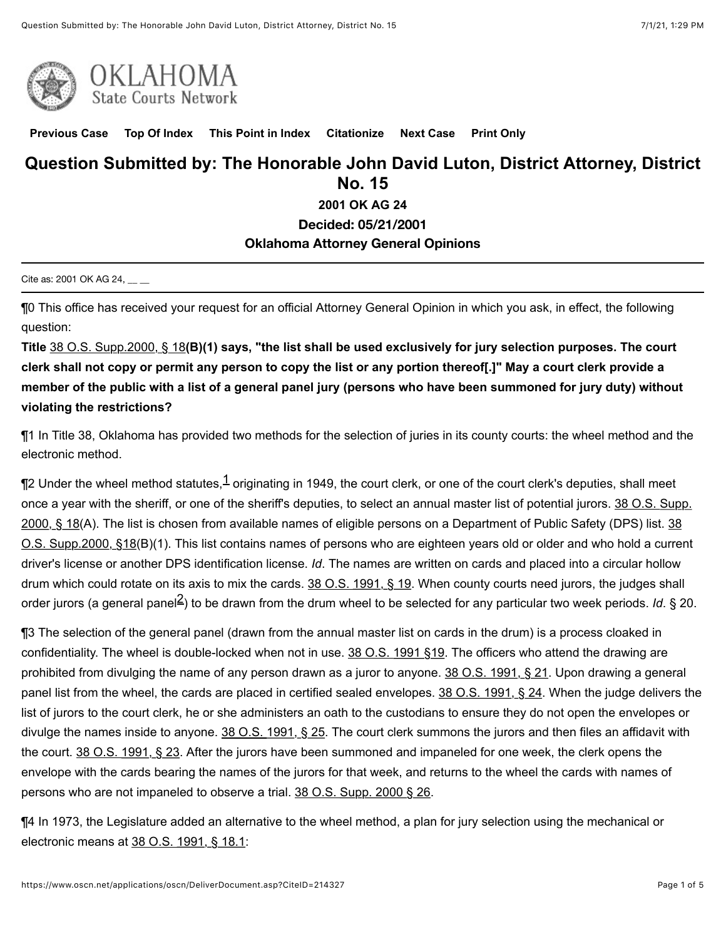

**[Previous Case](javascript:GetPrevious();) [Top Of Index](javascript:GetIndex();) [This Point in Index](javascript:GetHereInIndex();) [Citationize](javascript:GetCitationize();) [Next Case](javascript:GetNext();) [Print Only](javascript:PrintOnly();)**

# **Question Submitted by: The Honorable John David Luton, District Attorney, District No. 15**

**2001 OK AG 24**

**Decided: 05/21/2001**

### **Oklahoma Attorney General Opinions**

Cite as: 2001 OK AG 24, \_\_ \_

¶0 This office has received your request for an official Attorney General Opinion in which you ask, in effect, the following question:

**Title** [38 O.S. Supp.2000, § 18](https://www.oscn.net/applications/oscn/deliverdocument.asp?citeid=78213)**(B)(1) says, "the list shall be used exclusively for jury selection purposes. The court clerk shall not copy or permit any person to copy the list or any portion thereof[.]" May a court clerk provide a member of the public with a list of a general panel jury (persons who have been summoned for jury duty) without violating the restrictions?**

¶1 In Title 38, Oklahoma has provided two methods for the selection of juries in its county courts: the wheel method and the electronic method.

 $\P$ 2 Under the wheel method statutes, $^{\hbox{\scriptsize{$1$}}}$  $^{\hbox{\scriptsize{$1$}}}$  $^{\hbox{\scriptsize{$1$}}}$  originating in 1949, the court clerk, or one of the court clerk's deputies, shall meet [once a year with the sheriff, or one of the sheriff's deputies, to select an annual master list of potential jurors. 38 O.S. Supp.](https://www.oscn.net/applications/oscn/deliverdocument.asp?citeid=78213) [2000, § 18\(A\). The list is chosen from available names of eligible persons on a Department of Public Safety \(DPS\) list. 38](https://www.oscn.net/applications/oscn/deliverdocument.asp?citeid=78213) O.S. Supp.2000, §18(B)(1). This list contains names of persons who are eighteen years old or older and who hold a current driver's license or another DPS identification license. *Id*. The names are written on cards and placed into a circular hollow drum which could rotate on its axis to mix the cards. [38 O.S. 1991, § 19.](https://www.oscn.net/applications/oscn/deliverdocument.asp?citeid=78215) When county courts need jurors, the judges shall order jurors (a general panel<sup>[2](https://www.oscn.net/applications/oscn/DeliverDocument.asp?CiteID=214327%23marker1fn2)</sup>) to be drawn from the drum wheel to be selected for any particular two week periods. *Id*. § 20.

¶3 The selection of the general panel (drawn from the annual master list on cards in the drum) is a process cloaked in confidentiality. The wheel is double-locked when not in use. [38 O.S. 1991 §19](https://www.oscn.net/applications/oscn/deliverdocument.asp?citeid=78215). The officers who attend the drawing are prohibited from divulging the name of any person drawn as a juror to anyone. [38 O.S. 1991, § 21.](https://www.oscn.net/applications/oscn/deliverdocument.asp?citeid=78218) Upon drawing a general panel list from the wheel, the cards are placed in certified sealed envelopes. [38 O.S. 1991, § 24](https://www.oscn.net/applications/oscn/deliverdocument.asp?citeid=78222). When the judge delivers the list of jurors to the court clerk, he or she administers an oath to the custodians to ensure they do not open the envelopes or divulge the names inside to anyone. [38 O.S. 1991, § 25](https://www.oscn.net/applications/oscn/deliverdocument.asp?citeid=78223). The court clerk summons the jurors and then files an affidavit with the court. [38 O.S. 1991, § 23.](https://www.oscn.net/applications/oscn/deliverdocument.asp?citeid=78220) After the jurors have been summoned and impaneled for one week, the clerk opens the envelope with the cards bearing the names of the jurors for that week, and returns to the wheel the cards with names of persons who are not impaneled to observe a trial. [38 O.S. Supp. 2000 § 26](https://www.oscn.net/applications/oscn/deliverdocument.asp?citeid=78224).

¶4 In 1973, the Legislature added an alternative to the wheel method, a plan for jury selection using the mechanical or electronic means at [38 O.S. 1991, § 18.1](https://www.oscn.net/applications/oscn/deliverdocument.asp?citeid=78214):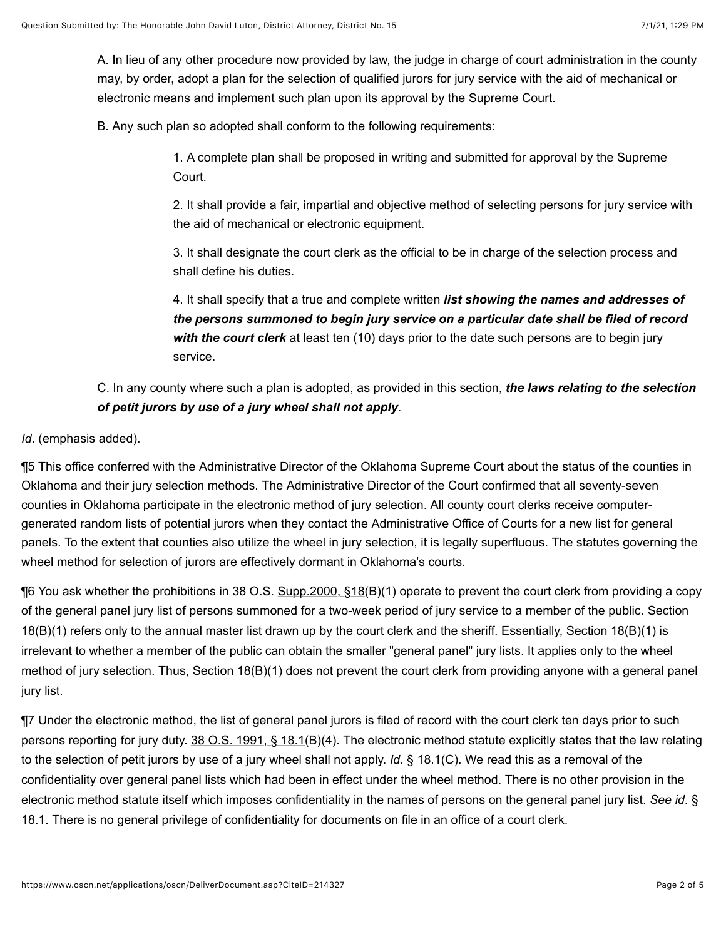A. In lieu of any other procedure now provided by law, the judge in charge of court administration in the county may, by order, adopt a plan for the selection of qualified jurors for jury service with the aid of mechanical or electronic means and implement such plan upon its approval by the Supreme Court.

B. Any such plan so adopted shall conform to the following requirements:

1. A complete plan shall be proposed in writing and submitted for approval by the Supreme Court.

2. It shall provide a fair, impartial and objective method of selecting persons for jury service with the aid of mechanical or electronic equipment.

3. It shall designate the court clerk as the official to be in charge of the selection process and shall define his duties.

4. It shall specify that a true and complete written *list showing the names and addresses of the persons summoned to begin jury service on a particular date shall be filed of record with the court clerk* at least ten (10) days prior to the date such persons are to begin jury service.

# C. In any county where such a plan is adopted, as provided in this section, *the laws relating to the selection of petit jurors by use of a jury wheel shall not apply*.

### *Id*. (emphasis added).

¶5 This office conferred with the Administrative Director of the Oklahoma Supreme Court about the status of the counties in Oklahoma and their jury selection methods. The Administrative Director of the Court confirmed that all seventy-seven counties in Oklahoma participate in the electronic method of jury selection. All county court clerks receive computergenerated random lists of potential jurors when they contact the Administrative Office of Courts for a new list for general panels. To the extent that counties also utilize the wheel in jury selection, it is legally superfluous. The statutes governing the wheel method for selection of jurors are effectively dormant in Oklahoma's courts.

**The You ask whether the prohibitions in 38 O.S. Supp.2000,**  $\S18(B)(1)$  **operate to prevent the court clerk from providing a copy** of the general panel jury list of persons summoned for a two-week period of jury service to a member of the public. Section 18(B)(1) refers only to the annual master list drawn up by the court clerk and the sheriff. Essentially, Section 18(B)(1) is irrelevant to whether a member of the public can obtain the smaller "general panel" jury lists. It applies only to the wheel method of jury selection. Thus, Section 18(B)(1) does not prevent the court clerk from providing anyone with a general panel jury list.

¶7 Under the electronic method, the list of general panel jurors is filed of record with the court clerk ten days prior to such persons reporting for jury duty. [38 O.S. 1991, § 18.1](https://www.oscn.net/applications/oscn/deliverdocument.asp?citeid=78214)(B)(4). The electronic method statute explicitly states that the law relating to the selection of petit jurors by use of a jury wheel shall not apply. *Id*. § 18.1(C). We read this as a removal of the confidentiality over general panel lists which had been in effect under the wheel method. There is no other provision in the electronic method statute itself which imposes confidentiality in the names of persons on the general panel jury list. *See id*. § 18.1. There is no general privilege of confidentiality for documents on file in an office of a court clerk.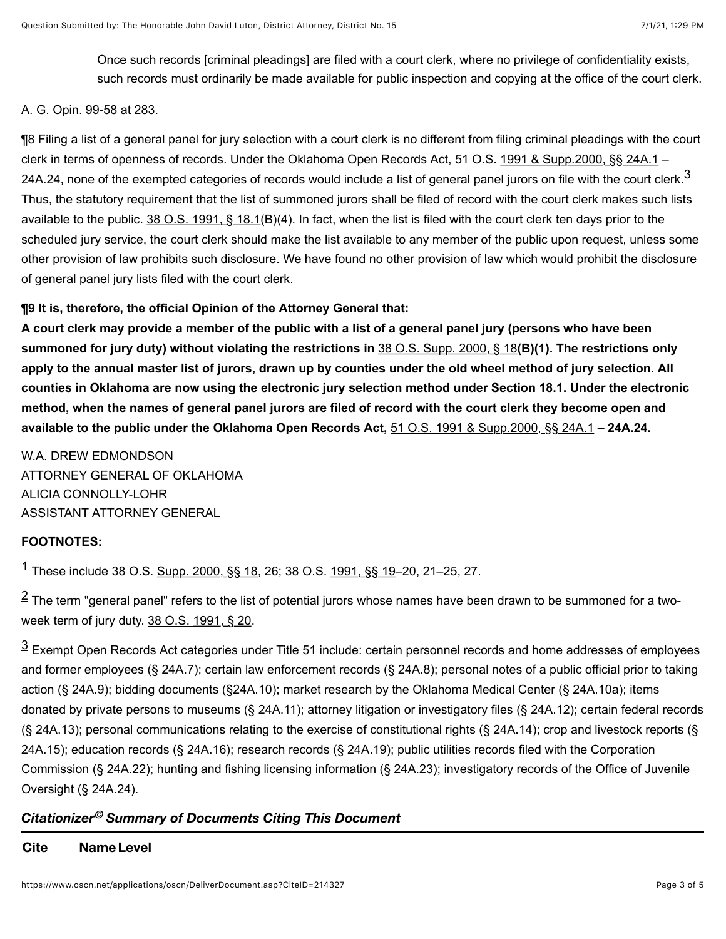Once such records [criminal pleadings] are filed with a court clerk, where no privilege of confidentiality exists, such records must ordinarily be made available for public inspection and copying at the office of the court clerk.

#### A. G. Opin. 99-58 at 283.

¶8 Filing a list of a general panel for jury selection with a court clerk is no different from filing criminal pleadings with the court clerk in terms of openness of records. Under the Oklahoma Open Records Act, [51 O.S. 1991 & Supp.2000, §§ 24A.1](https://www.oscn.net/applications/oscn/deliverdocument.asp?citeid=80288) – 24A.24, none of the exempted categories of records would include a list of general panel jurors on file with the court clerk.<sup>[3](https://www.oscn.net/applications/oscn/DeliverDocument.asp?CiteID=214327%23marker1fn3)</sup> Thus, the statutory requirement that the list of summoned jurors shall be filed of record with the court clerk makes such lists available to the public. [38 O.S. 1991, § 18.1\(](https://www.oscn.net/applications/oscn/deliverdocument.asp?citeid=78214)B)(4). In fact, when the list is filed with the court clerk ten days prior to the scheduled jury service, the court clerk should make the list available to any member of the public upon request, unless some other provision of law prohibits such disclosure. We have found no other provision of law which would prohibit the disclosure of general panel jury lists filed with the court clerk.

### **¶9 It is, therefore, the official Opinion of the Attorney General that:**

**A court clerk may provide a member of the public with a list of a general panel jury (persons who have been summoned for jury duty) without violating the restrictions in** [38 O.S. Supp. 2000, § 18](https://www.oscn.net/applications/oscn/deliverdocument.asp?citeid=78213)**(B)(1). The restrictions only apply to the annual master list of jurors, drawn up by counties under the old wheel method of jury selection. All counties in Oklahoma are now using the electronic jury selection method under Section 18.1. Under the electronic method, when the names of general panel jurors are filed of record with the court clerk they become open and available to the public under the Oklahoma Open Records Act,** [51 O.S. 1991 & Supp.2000, §§ 24A.1](https://www.oscn.net/applications/oscn/deliverdocument.asp?citeid=80288) **– 24A.24.**

W.A. DREW EDMONDSON ATTORNEY GENERAL OF OKLAHOMA ALICIA CONNOLLY-LOHR ASSISTANT ATTORNEY GENERAL

### **FOOTNOTES:**

 $^{\rm 1}$  $^{\rm 1}$  $^{\rm 1}$  These include 38 O<u>.S. Supp. 2000, §§ 18,</u> 26; <u>38 O.S. 1991, §§ 19</u>–20, 21–25, 27.

 $^{\text{\textbf{2}}}$  $^{\text{\textbf{2}}}$  $^{\text{\textbf{2}}}$  The term "general panel" refers to the list of potential jurors whose names have been drawn to be summoned for a twoweek term of jury duty. [38 O.S. 1991, § 20](https://www.oscn.net/applications/oscn/deliverdocument.asp?citeid=78216).

 $^{\text{3}}$  $^{\text{3}}$  $^{\text{3}}$  Exempt Open Records Act categories under Title 51 include: certain personnel records and home addresses of employees and former employees (§ 24A.7); certain law enforcement records (§ 24A.8); personal notes of a public official prior to taking action (§ 24A.9); bidding documents (§24A.10); market research by the Oklahoma Medical Center (§ 24A.10a); items donated by private persons to museums (§ 24A.11); attorney litigation or investigatory files (§ 24A.12); certain federal records (§ 24A.13); personal communications relating to the exercise of constitutional rights (§ 24A.14); crop and livestock reports (§ 24A.15); education records (§ 24A.16); research records (§ 24A.19); public utilities records filed with the Corporation Commission (§ 24A.22); hunting and fishing licensing information (§ 24A.23); investigatory records of the Office of Juvenile Oversight (§ 24A.24).

# *Citationizer Summary of Documents Citing This Document ©*

#### **Cite NameLevel**